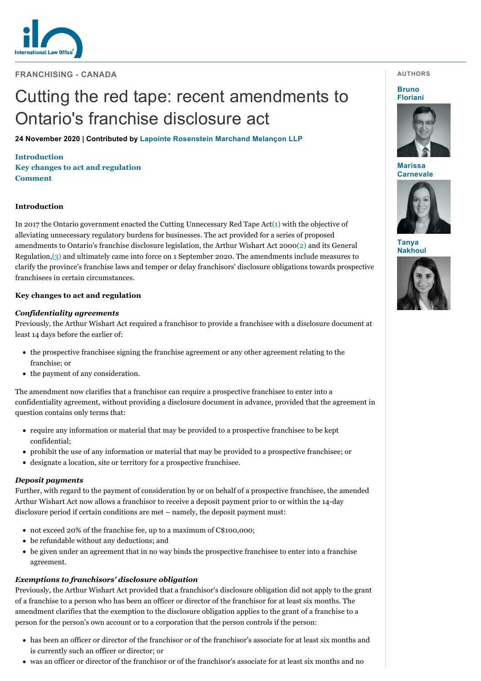

**FRANCHISING - CANADA**

# Cutting the red tape: recent amendments to Ontario's franchise disclosure act

**24 November 2020 | Contributed by [Lapointe Rosenstein Marchand Melançon LLP](https://www.internationallawoffice.com/gesr.ashx?l=9A7BLFC)**

**[Introduct](#page-1-0)[ion](#page-0-0) [Key changes to act and regulation](#page-0-1) Comment**

# <span id="page-0-0"></span>**Introduction**

In 2017 the Ontario government enacted the Cutting Unnecessary Red Tape Act[\(1\)](#page-1-1) with the objective of alleviating unnecessary regulatory burdens for businesses. The act provided for a series of proposed amendments to Ontario's franchise disclosure legislation, the Arthur Wishart Act 200[0\(2\)](#page-1-2) and its General Regulation[,\(3\)](#page-1-3) and ultimately came into force on 1 September 2020. The amendments include measures to clarify the province's franchise laws and temper or delay franchisors' disclosure obligations towards prospective franchisees in certain circumstances.

# <span id="page-0-1"></span>**Key changes to act and regulation**

# *Confidentiality agreements*

Previously, the Arthur Wishart Act required a franchisor to provide a franchisee with a disclosure document at least 14 days before the earlier of:

- the prospective franchisee signing the franchise agreement or any other agreement relating to the franchise; or
- the payment of any consideration.

The amendment now clarifies that a franchisor can require a prospective franchisee to enter into a confidentiality agreement, without providing a disclosure document in advance, provided that the agreement in question contains only terms that:

- require any information or material that may be provided to a prospective franchisee to be kept confidential;
- prohibit the use of any information or material that may be provided to a prospective franchisee; or
- designate a location, site or territory for a prospective franchisee.

## *Deposit payments*

Further, with regard to the payment of consideration by or on behalf of a prospective franchisee, the amended Arthur Wishart Act now allows a franchisor to receive a deposit payment prior to or within the 14-day disclosure period if certain conditions are met – namely, the deposit payment must:

- not exceed 20% of the franchise fee, up to a maximum of C\$100,000;
- be refundable without any deductions; and
- be given under an agreement that in no way binds the prospective franchisee to enter into a franchise agreement.

# *Exemptions to franchisors' disclosure obligation*

Previously, the Arthur Wishart Act provided that a franchisor's disclosure obligation did not apply to the grant of a franchise to a person who has been an officer or director of the franchisor for at least six months. The amendment clarifies that the exemption to the disclosure obligation applies to the grant of a franchise to a person for the person's own account or to a corporation that the person controls if the person:

- has been an officer or director of the franchisor or of the franchisor's associate for at least six months and is currently such an officer or director; or
- was an officer or director of the franchisor or of the franchisor's associate for at least six months and no

#### **AUTHORS**

**Bruno [Floriani](https://www.internationallawoffice.com/gesr.ashx?l=9A7BLG5)**



**Marissa [Carnevale](https://www.internationallawoffice.com/gesr.ashx?l=9A7BLG8)**



**Tanya [Nakhoul](https://www.internationallawoffice.com/gesr.ashx?l=9A7BLGB)**